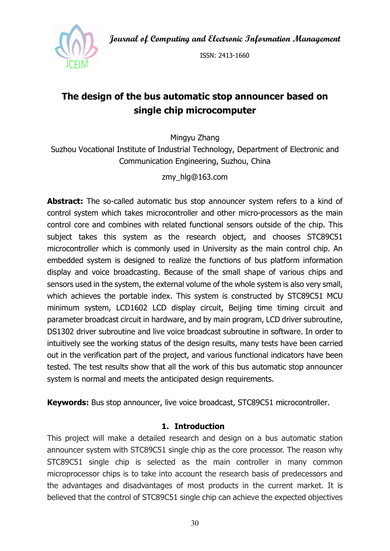Journal of Computing and Electronic Information Management



ISSN: 2413-1660

# The design of the bus automatic stop announcer based on single chip microcomputer

Mingyu Zhang

Suzhou Vocational Institute of Industrial Technology, Department of Electronic and Communication Engineering, Suzhou, China

zmy\_hlg@163.com

Abstract: The so-called automatic bus stop announcer system refers to a kind of control system which takes microcontroller and other micro-processors as the main control core and combines with related functional sensors outside of the chip. This subject takes this system as the research object, and chooses STC89C51 microcontroller which is commonly used in University as the main control chip. An embedded system is designed to realize the functions of bus platform information display and voice broadcasting. Because of the small shape of various chips and sensors used in the system, the external volume of the whole system is also very small, which achieves the portable index. This system is constructed by STC89C51 MCU minimum system, LCD1602 LCD display circuit, Beijing time timing circuit and parameter broadcast circuit in hardware, and by main program, LCD driver subroutine, DS1302 driver subroutine and live voice broadcast subroutine in software. In order to intuitively see the working status of the design results, many tests have been carried out in the verification part of the project, and various functional indicators have been tested. The test results show that all the work of this bus automatic stop announcer system is normal and meets the anticipated design requirements.

**Keywords:** Bus stop announcer, live voice broadcast, STC89C51 microcontroller.

### 1. Introduction

This project will make a detailed research and design on a bus automatic station announcer system with STC89C51 single chip as the core processor. The reason why STC89C51 single chip is selected as the main controller in many common microprocessor chips is to take into account the research basis of predecessors and the advantages and disadvantages of most products in the current market. It is believed that the control of STC89C51 single chip can achieve the expected objectives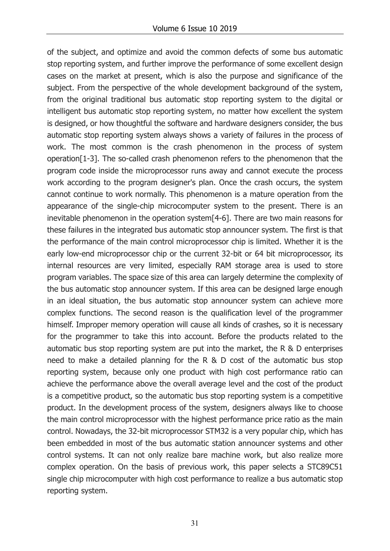of the subject, and optimize and avoid the common defects of some bus automatic stop reporting system, and further improve the performance of some excellent design cases on the market at present, which is also the purpose and significance of the subject. From the perspective of the whole development background of the system, from the original traditional bus automatic stop reporting system to the digital or intelligent bus automatic stop reporting system, no matter how excellent the system is designed, or how thoughtful the software and hardware designers consider, the bus automatic stop reporting system always shows a variety of failures in the process of work. The most common is the crash phenomenon in the process of system operation[1-3]. The so-called crash phenomenon refers to the phenomenon that the program code inside the microprocessor runs away and cannot execute the process work according to the program designer's plan. Once the crash occurs, the system cannot continue to work normally. This phenomenon is a mature operation from the appearance of the single-chip microcomputer system to the present. There is an inevitable phenomenon in the operation system[4-6]. There are two main reasons for these failures in the integrated bus automatic stop announcer system. The first is that the performance of the main control microprocessor chip is limited. Whether it is the early low-end microprocessor chip or the current 32-bit or 64 bit microprocessor, its internal resources are very limited, especially RAM storage area is used to store program variables. The space size of this area can largely determine the complexity of the bus automatic stop announcer system. If this area can be designed large enough in an ideal situation, the bus automatic stop announcer system can achieve more complex functions. The second reason is the qualification level of the programmer himself. Improper memory operation will cause all kinds of crashes, so it is necessary for the programmer to take this into account. Before the products related to the automatic bus stop reporting system are put into the market, the R & D enterprises need to make a detailed planning for the R & D cost of the automatic bus stop reporting system, because only one product with high cost performance ratio can achieve the performance above the overall average level and the cost of the product is a competitive product, so the automatic bus stop reporting system is a competitive product. In the development process of the system, designers always like to choose the main control microprocessor with the highest performance price ratio as the main control. Nowadays, the 32-bit microprocessor STM32 is a very popular chip, which has been embedded in most of the bus automatic station announcer systems and other control systems. It can not only realize bare machine work, but also realize more complex operation. On the basis of previous work, this paper selects a STC89C51 single chip microcomputer with high cost performance to realize a bus automatic stop reporting system.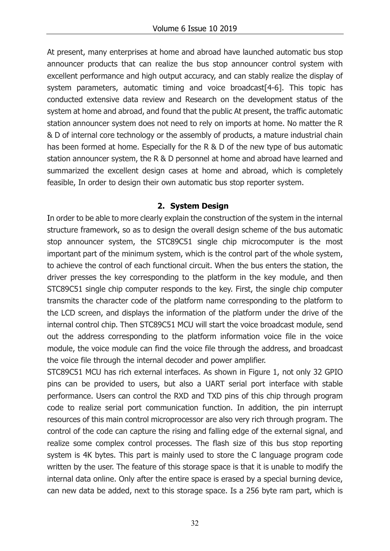At present, many enterprises at home and abroad have launched automatic bus stop announcer products that can realize the bus stop announcer control system with excellent performance and high output accuracy, and can stably realize the display of system parameters, automatic timing and voice broadcast[4-6]. This topic has conducted extensive data review and Research on the development status of the system at home and abroad, and found that the public At present, the traffic automatic station announcer system does not need to rely on imports at home. No matter the R & D of internal core technology or the assembly of products, a mature industrial chain has been formed at home. Especially for the R & D of the new type of bus automatic station announcer system, the R & D personnel at home and abroad have learned and summarized the excellent design cases at home and abroad, which is completely feasible, In order to design their own automatic bus stop reporter system.

## 2. System Design

In order to be able to more clearly explain the construction of the system in the internal structure framework, so as to design the overall design scheme of the bus automatic stop announcer system, the STC89C51 single chip microcomputer is the most important part of the minimum system, which is the control part of the whole system, to achieve the control of each functional circuit. When the bus enters the station, the driver presses the key corresponding to the platform in the key module, and then STC89C51 single chip computer responds to the key. First, the single chip computer transmits the character code of the platform name corresponding to the platform to the LCD screen, and displays the information of the platform under the drive of the internal control chip. Then STC89C51 MCU will start the voice broadcast module, send out the address corresponding to the platform information voice file in the voice module, the voice module can find the voice file through the address, and broadcast the voice file through the internal decoder and power amplifier.

STC89C51 MCU has rich external interfaces. As shown in Figure 1, not only 32 GPIO pins can be provided to users, but also a UART serial port interface with stable performance. Users can control the RXD and TXD pins of this chip through program code to realize serial port communication function. In addition, the pin interrupt resources of this main control microprocessor are also very rich through program. The control of the code can capture the rising and falling edge of the external signal, and realize some complex control processes. The flash size of this bus stop reporting system is 4K bytes. This part is mainly used to store the C language program code written by the user. The feature of this storage space is that it is unable to modify the internal data online. Only after the entire space is erased by a special burning device, can new data be added, next to this storage space. Is a 256 byte ram part, which is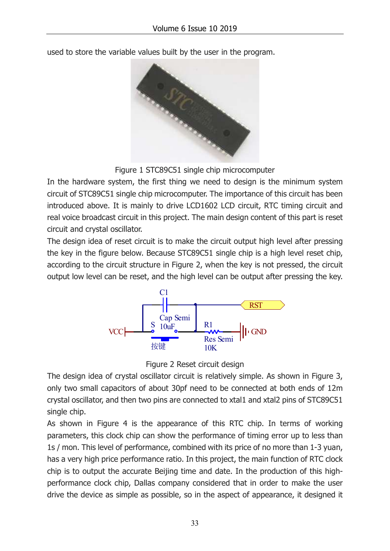used to store the variable values built by the user in the program.



Figure 1 STC89C51 single chip microcomputer

In the hardware system, the first thing we need to design is the minimum system circuit of STC89C51 single chip microcomputer. The importance of this circuit has been introduced above. It is mainly to drive LCD1602 LCD circuit, RTC timing circuit and real voice broadcast circuit in this project. The main design content of this part is reset circuit and crystal oscillator.

The design idea of reset circuit is to make the circuit output high level after pressing the key in the figure below. Because STC89C51 single chip is a high level reset chip, according to the circuit structure in Figure 2, when the key is not pressed, the circuit output low level can be reset, and the high level can be output after pressing the key.



Figure 2 Reset circuit design

The design idea of crystal oscillator circuit is relatively simple. As shown in Figure 3, only two small capacitors of about 30pf need to be connected at both ends of 12m crystal oscillator, and then two pins are connected to xtal1 and xtal2 pins of STC89C51 single chip.

As shown in Figure 4 is the appearance of this RTC chip. In terms of working parameters, this clock chip can show the performance of timing error up to less than 1s / mon. This level of performance, combined with its price of no more than 1-3 yuan, has a very high price performance ratio. In this project, the main function of RTC clock chip is to output the accurate Beijing time and date. In the production of this highperformance clock chip, Dallas company considered that in order to make the user drive the device as simple as possible, so in the aspect of appearance, it designed it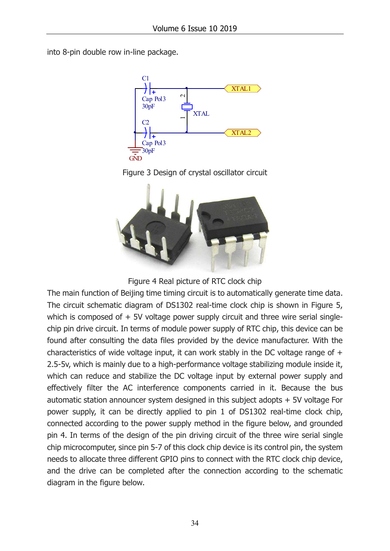into 8-pin double row in-line package.



Figure 3 Design of crystal oscillator circuit



Figure 4 Real picture of RTC clock chip

The main function of Beijing time timing circuit is to automatically generate time data. The circuit schematic diagram of DS1302 real-time clock chip is shown in Figure 5, which is composed of  $+5V$  voltage power supply circuit and three wire serial singlechip pin drive circuit. In terms of module power supply of RTC chip, this device can be found after consulting the data files provided by the device manufacturer. With the characteristics of wide voltage input, it can work stably in the DC voltage range of + 2.5-5v, which is mainly due to a high-performance voltage stabilizing module inside it, which can reduce and stabilize the DC voltage input by external power supply and effectively filter the AC interference components carried in it. Because the bus automatic station announcer system designed in this subject adopts + 5V voltage For power supply, it can be directly applied to pin 1 of DS1302 real-time clock chip, connected according to the power supply method in the figure below, and grounded pin 4. In terms of the design of the pin driving circuit of the three wire serial single chip microcomputer, since pin 5-7 of this clock chip device is its control pin, the system needs to allocate three different GPIO pins to connect with the RTC clock chip device, and the drive can be completed after the connection according to the schematic diagram in the figure below.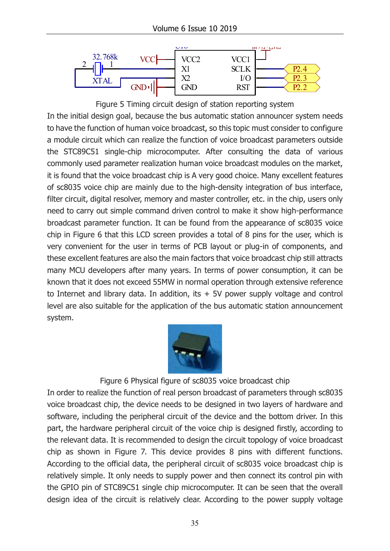

Figure 5 Timing circuit design of station reporting system In the initial design goal, because the bus automatic station announcer system needs to have the function of human voice broadcast, so this topic must consider to configure a module circuit which can realize the function of voice broadcast parameters outside the STC89C51 single-chip microcomputer. After consulting the data of various commonly used parameter realization human voice broadcast modules on the market, it is found that the voice broadcast chip is A very good choice. Many excellent features of sc8035 voice chip are mainly due to the high-density integration of bus interface, filter circuit, digital resolver, memory and master controller, etc. in the chip, users only need to carry out simple command driven control to make it show high-performance broadcast parameter function. It can be found from the appearance of sc8035 voice chip in Figure 6 that this LCD screen provides a total of 8 pins for the user, which is very convenient for the user in terms of PCB layout or plug-in of components, and these excellent features are also the main factors that voice broadcast chip still attracts many MCU developers after many years. In terms of power consumption, it can be known that it does not exceed 55MW in normal operation through extensive reference to Internet and library data. In addition, its  $+5V$  power supply voltage and control level are also suitable for the application of the bus automatic station announcement system.



### Figure 6 Physical figure of sc8035 voice broadcast chip

In order to realize the function of real person broadcast of parameters through sc8035 voice broadcast chip, the device needs to be designed in two layers of hardware and software, including the peripheral circuit of the device and the bottom driver. In this part, the hardware peripheral circuit of the voice chip is designed firstly, according to the relevant data. It is recommended to design the circuit topology of voice broadcast chip as shown in Figure 7. This device provides 8 pins with different functions. According to the official data, the peripheral circuit of sc8035 voice broadcast chip is relatively simple. It only needs to supply power and then connect its control pin with the GPIO pin of STC89C51 single chip microcomputer. It can be seen that the overall design idea of the circuit is relatively clear. According to the power supply voltage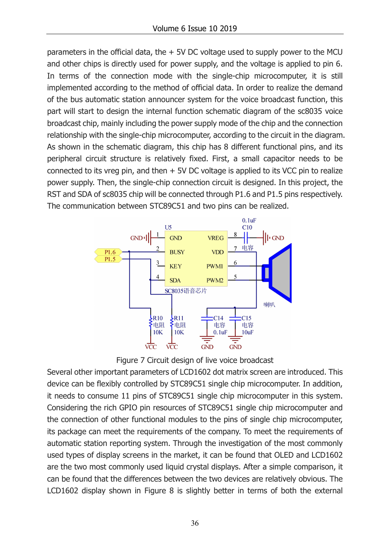parameters in the official data, the  $+5V$  DC voltage used to supply power to the MCU and other chips is directly used for power supply, and the voltage is applied to pin 6. In terms of the connection mode with the single-chip microcomputer, it is still implemented according to the method of official data. In order to realize the demand of the bus automatic station announcer system for the voice broadcast function, this part will start to design the internal function schematic diagram of the sc8035 voice broadcast chip, mainly including the power supply mode of the chip and the connection relationship with the single-chip microcomputer, according to the circuit in the diagram. As shown in the schematic diagram, this chip has 8 different functional pins, and its peripheral circuit structure is relatively fixed. First, a small capacitor needs to be connected to its vreg pin, and then  $+5V$  DC voltage is applied to its VCC pin to realize power supply. Then, the single-chip connection circuit is designed. In this project, the RST and SDA of sc8035 chip will be connected through P1.6 and P1.5 pins respectively. The communication between STC89C51 and two pins can be realized. Example the single-chip microcomputer, it is still<br>to the method of official data. In order to realize the demand<br>tion announcer system for the voice broadcast function, this<br>the internal function schematic diagram of the



Figure 7 Circuit design of live voice broadcast

Several other important parameters of LCD1602 dot matrix screen are introduced. This device can be flexibly controlled by STC89C51 single chip microcomputer. In addition, it needs to consume 11 pins of STC89C51 single chip microcomputer in this system. Considering the rich GPIO pin resources of STC89C51 single chip microcomputer and the connection of other functional modules to the pins of single chip microcomputer, its package can meet the requirements of the company. To meet the requirements of automatic station reporting system. Through the investigation of the most commonly used types of display screens in the market, it can be found that OLED and LCD1602 are the two most commonly used liquid crystal displays. After a simple comparison, it can be found that the differences between the two devices are relatively obvious. The LCD1602 display shown in Figure 8 is slightly better in terms of both the external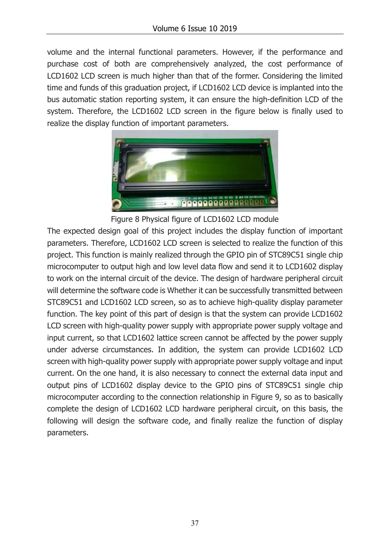volume and the internal functional parameters. However, if the performance and purchase cost of both are comprehensively analyzed, the cost performance of LCD1602 LCD screen is much higher than that of the former. Considering the limited time and funds of this graduation project, if LCD1602 LCD device is implanted into the bus automatic station reporting system, it can ensure the high-definition LCD of the system. Therefore, the LCD1602 LCD screen in the figure below is finally used to realize the display function of important parameters.



Figure 8 Physical figure of LCD1602 LCD module

The expected design goal of this project includes the display function of important parameters. Therefore, LCD1602 LCD screen is selected to realize the function of this project. This function is mainly realized through the GPIO pin of STC89C51 single chip microcomputer to output high and low level data flow and send it to LCD1602 display to work on the internal circuit of the device. The design of hardware peripheral circuit will determine the software code is Whether it can be successfully transmitted between STC89C51 and LCD1602 LCD screen, so as to achieve high-quality display parameter function. The key point of this part of design is that the system can provide LCD1602 LCD screen with high-quality power supply with appropriate power supply voltage and input current, so that LCD1602 lattice screen cannot be affected by the power supply under adverse circumstances. In addition, the system can provide LCD1602 LCD screen with high-quality power supply with appropriate power supply voltage and input current. On the one hand, it is also necessary to connect the external data input and output pins of LCD1602 display device to the GPIO pins of STC89C51 single chip microcomputer according to the connection relationship in Figure 9, so as to basically complete the design of LCD1602 LCD hardware peripheral circuit, on this basis, the following will design the software code, and finally realize the function of display parameters.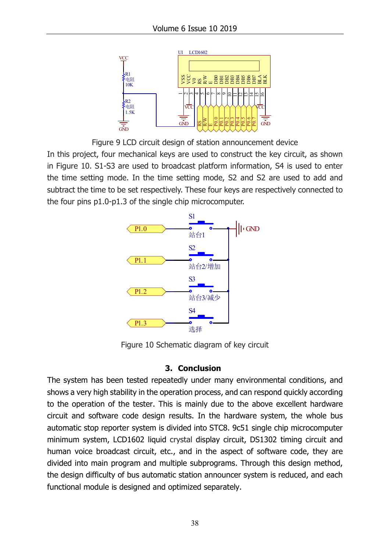

Figure 9 LCD circuit design of station announcement device

In this project, four mechanical keys are used to construct the key circuit, as shown in Figure 10. S1-S3 are used to broadcast platform information, S4 is used to enter the time setting mode. In the time setting mode, S2 and S2 are used to add and subtract the time to be set respectively. These four keys are respectively connected to the four pins p1.0-p1.3 of the single chip microcomputer.



Figure 10 Schematic diagram of key circuit

### 3. Conclusion

The system has been tested repeatedly under many environmental conditions, and shows a very high stability in the operation process, and can respond quickly according to the operation of the tester. This is mainly due to the above excellent hardware circuit and software code design results. In the hardware system, the whole bus automatic stop reporter system is divided into STC8. 9c51 single chip microcomputer minimum system, LCD1602 liquid crystal display circuit, DS1302 timing circuit and human voice broadcast circuit, etc., and in the aspect of software code, they are divided into main program and multiple subprograms. Through this design method, the design difficulty of bus automatic station announcer system is reduced, and each Functional model is designed and occurrent device in this projection. The properties are expected by construct the key circuit, as shown in Figure 10. 51-53 are used to broadcast platform information, S4 is used to enter